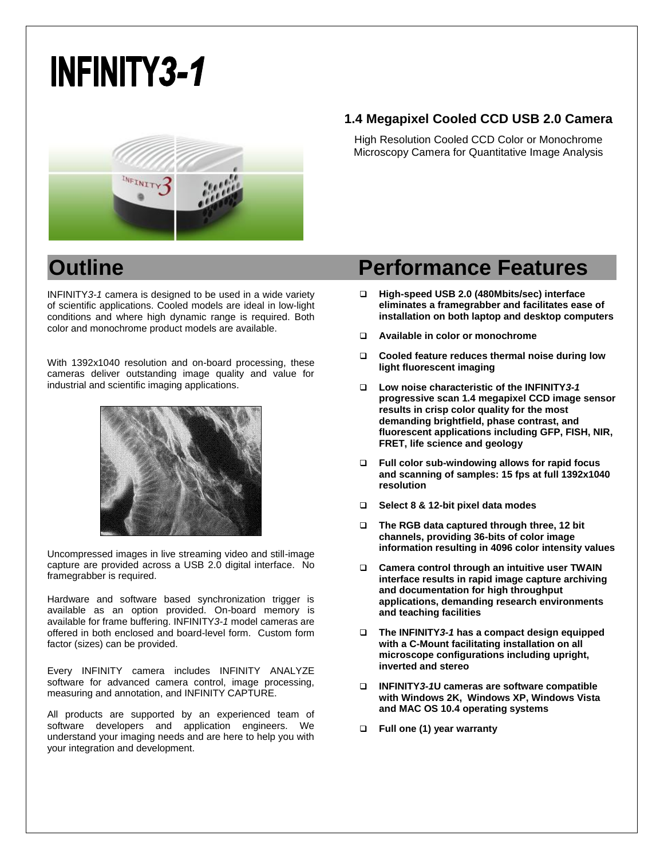# **INFINITY3-1**



INFINITY*3-1* camera is designed to be used in a wide variety of scientific applications. Cooled models are ideal in low-light conditions and where high dynamic range is required. Both color and monochrome product models are available.

With 1392x1040 resolution and on-board processing, these cameras deliver outstanding image quality and value for industrial and scientific imaging applications.



Uncompressed images in live streaming video and still-image capture are provided across a USB 2.0 digital interface. No framegrabber is required.

Hardware and software based synchronization trigger is available as an option provided. On-board memory is available for frame buffering. INFINITY*3-1* model cameras are offered in both enclosed and board-level form. Custom form factor (sizes) can be provided.

Every INFINITY camera includes INFINITY ANALYZE software for advanced camera control, image processing, measuring and annotation, and INFINITY CAPTURE.

All products are supported by an experienced team of software developers and application engineers. We understand your imaging needs and are here to help you with your integration and development.

## **1.4 Megapixel Cooled CCD USB 2.0 Camera**

High Resolution Cooled CCD Color or Monochrome Microscopy Camera for Quantitative Image Analysis

# **Outline Contract Contract Performance Features**

- **High-speed USB 2.0 (480Mbits/sec) interface eliminates a framegrabber and facilitates ease of installation on both laptop and desktop computers**
- **Available in color or monochrome**
- **Cooled feature reduces thermal noise during low light fluorescent imaging**
- **Low noise characteristic of the INFINITY***3-1* **progressive scan 1.4 megapixel CCD image sensor results in crisp color quality for the most demanding brightfield, phase contrast, and fluorescent applications including GFP, FISH, NIR, FRET, life science and geology**
- **Full color sub-windowing allows for rapid focus and scanning of samples: 15 fps at full 1392x1040 resolution**
- **Select 8 & 12-bit pixel data modes**
- **The RGB data captured through three, 12 bit channels, providing 36-bits of color image information resulting in 4096 color intensity values**
- **Camera control through an intuitive user TWAIN interface results in rapid image capture archiving and documentation for high throughput applications, demanding research environments and teaching facilities**
- **The INFINITY***3-1* **has a compact design equipped with a C-Mount facilitating installation on all microscope configurations including upright, inverted and stereo**
- **INFINITY***3-1***U cameras are software compatible with Windows 2K, Windows XP, Windows Vista and MAC OS 10.4 operating systems**
- **Full one (1) year warranty**